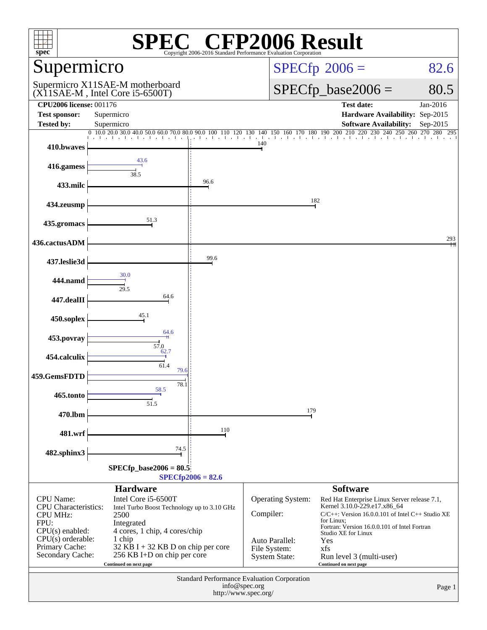| $\mathbb{C}^{\circledast}$ CFP2006 Result<br>$s\overline{\text{pec}}$<br>Copyright 2006-2016 Standard Performance Evaluation Corporation                                                                                 |                                                                                                                                                |      |                                                        |                                                                                                                                                     |                                 |  |  |
|--------------------------------------------------------------------------------------------------------------------------------------------------------------------------------------------------------------------------|------------------------------------------------------------------------------------------------------------------------------------------------|------|--------------------------------------------------------|-----------------------------------------------------------------------------------------------------------------------------------------------------|---------------------------------|--|--|
| Supermicro                                                                                                                                                                                                               |                                                                                                                                                |      |                                                        | $SPECfp^{\circledast}2006 =$<br>82.6                                                                                                                |                                 |  |  |
|                                                                                                                                                                                                                          | Supermicro X11SAE-M motherboard<br>$(X11SAE-M$ , Intel Core i5-6500T)                                                                          |      |                                                        | $SPECfp\_base2006 =$<br>80.5                                                                                                                        |                                 |  |  |
| <b>CPU2006 license: 001176</b>                                                                                                                                                                                           |                                                                                                                                                |      |                                                        | <b>Test date:</b>                                                                                                                                   | Jan-2016                        |  |  |
| <b>Test sponsor:</b><br><b>Tested by:</b>                                                                                                                                                                                | Supermicro<br>Supermicro                                                                                                                       |      |                                                        | Hardware Availability: Sep-2015<br><b>Software Availability:</b>                                                                                    | Sep-2015                        |  |  |
|                                                                                                                                                                                                                          | $0 \  \, 10.0 \  \, 20.0 \  \, 30.0 \  \, 40.0 \  \, 50.0 \  \, 60.0 \  \, 70.0 \  \, 80.0 \  \, 90.0 \  \, 100 \  \, 110 \  \, 120 \  \, 130$ |      | $140$ $150$ $160$ $170$ $180$ $190$ $200$ $210$        |                                                                                                                                                     | 220 230 240 250 260 270 280 295 |  |  |
| 410.bwaves                                                                                                                                                                                                               |                                                                                                                                                |      | 140                                                    |                                                                                                                                                     |                                 |  |  |
| 416.gamess                                                                                                                                                                                                               | 43.6                                                                                                                                           |      |                                                        |                                                                                                                                                     |                                 |  |  |
| 433.milc                                                                                                                                                                                                                 | 38.5                                                                                                                                           | 96.6 |                                                        |                                                                                                                                                     |                                 |  |  |
| 434.zeusmp                                                                                                                                                                                                               |                                                                                                                                                |      |                                                        | 182                                                                                                                                                 |                                 |  |  |
| 435.gromacs                                                                                                                                                                                                              | 51.3                                                                                                                                           |      |                                                        |                                                                                                                                                     |                                 |  |  |
| 436.cactusADM                                                                                                                                                                                                            |                                                                                                                                                |      |                                                        |                                                                                                                                                     | 293                             |  |  |
| 437.leslie3d                                                                                                                                                                                                             |                                                                                                                                                | 99.6 |                                                        |                                                                                                                                                     |                                 |  |  |
| 444.namd                                                                                                                                                                                                                 | 30.0<br>29.5                                                                                                                                   |      |                                                        |                                                                                                                                                     |                                 |  |  |
| 447.dealII                                                                                                                                                                                                               | 64.6                                                                                                                                           |      |                                                        |                                                                                                                                                     |                                 |  |  |
| 450.soplex                                                                                                                                                                                                               | 45.1                                                                                                                                           |      |                                                        |                                                                                                                                                     |                                 |  |  |
| 453.povray                                                                                                                                                                                                               | 64.6<br>57.0                                                                                                                                   |      |                                                        |                                                                                                                                                     |                                 |  |  |
| 454.calculix                                                                                                                                                                                                             | 62.7<br>61.4                                                                                                                                   |      |                                                        |                                                                                                                                                     |                                 |  |  |
| 459.GemsFDTD                                                                                                                                                                                                             | 79.6<br>78.1                                                                                                                                   |      |                                                        |                                                                                                                                                     |                                 |  |  |
| 465.tonto                                                                                                                                                                                                                | 58.5<br>51.5                                                                                                                                   |      |                                                        |                                                                                                                                                     |                                 |  |  |
| 470.lbm                                                                                                                                                                                                                  |                                                                                                                                                |      | 179                                                    |                                                                                                                                                     |                                 |  |  |
| 481.wrf                                                                                                                                                                                                                  |                                                                                                                                                | 110  |                                                        |                                                                                                                                                     |                                 |  |  |
| 482.sphinx3                                                                                                                                                                                                              | 74.5                                                                                                                                           |      |                                                        |                                                                                                                                                     |                                 |  |  |
| $SPECfp\_base2006 = 80.5$<br>$SPECfp2006 = 82.6$                                                                                                                                                                         |                                                                                                                                                |      |                                                        |                                                                                                                                                     |                                 |  |  |
|                                                                                                                                                                                                                          | <b>Hardware</b>                                                                                                                                |      |                                                        | <b>Software</b>                                                                                                                                     |                                 |  |  |
| <b>CPU</b> Name:<br><b>CPU</b> Characteristics:<br><b>CPU MHz:</b><br>FPU:                                                                                                                                               | Intel Core i5-6500T<br>Intel Turbo Boost Technology up to 3.10 GHz<br>2500<br>Integrated                                                       |      | Operating System:<br>Compiler:                         | Red Hat Enterprise Linux Server release 7.1,<br>Kernel 3.10.0-229.e17.x86_64<br>$C/C++$ : Version 16.0.0.101 of Intel $C++$ Studio XE<br>for Linux: |                                 |  |  |
| $CPU(s)$ enabled:<br>4 cores, 1 chip, 4 cores/chip<br>$CPU(s)$ orderable:<br>1 chip<br>Primary Cache:<br>32 KB I + 32 KB D on chip per core<br>Secondary Cache:<br>256 KB I+D on chip per core<br>Continued on next page |                                                                                                                                                |      | Auto Parallel:<br>File System:<br><b>System State:</b> | Fortran: Version 16.0.0.101 of Intel Fortran<br>Studio XE for Linux<br>Yes<br>xfs<br>Run level 3 (multi-user)<br>Continued on next page             |                                 |  |  |
| <b>Standard Performance Evaluation Corporation</b><br>info@spec.org<br>Page 1<br>http://www.spec.org/                                                                                                                    |                                                                                                                                                |      |                                                        |                                                                                                                                                     |                                 |  |  |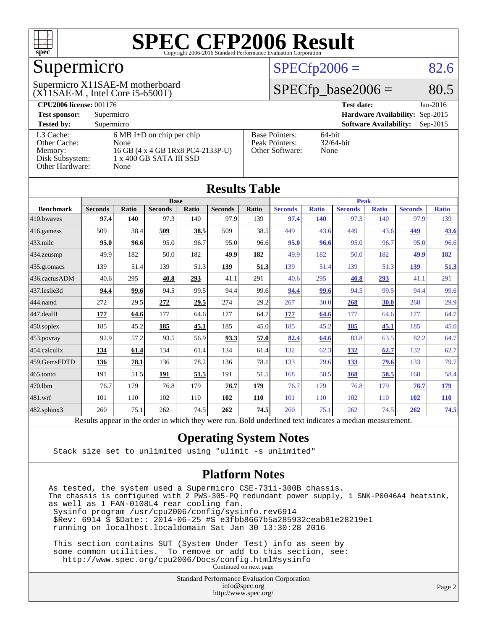

### Supermicro

(X11SAE-M , Intel Core i5-6500T) Supermicro X11SAE-M motherboard

#### $SPECfp2006 = 82.6$  $SPECfp2006 = 82.6$

#### $SPECfp\_base2006 = 80.5$

| <b>CPU2006 license: 001176</b> |                                     |                                 | <b>Test date:</b><br>$Jan-2016$             |  |  |  |
|--------------------------------|-------------------------------------|---------------------------------|---------------------------------------------|--|--|--|
| <b>Test sponsor:</b>           | Supermicro                          | Hardware Availability: Sep-2015 |                                             |  |  |  |
| <b>Tested by:</b>              | Supermicro                          |                                 | <b>Software Availability:</b><br>$Sep-2015$ |  |  |  |
| L3 Cache:                      | $6 \text{ MB I+D}$ on chip per chip | <b>Base Pointers:</b>           | $64$ -bit                                   |  |  |  |
| Other Cache:                   | None                                | Peak Pointers:                  | $32/64$ -bit                                |  |  |  |
| Memory:                        | 16 GB (4 x 4 GB 1Rx8 PC4-2133P-U)   | Other Software:                 | None                                        |  |  |  |
| Disk Subsystem:                | 1 x 400 GB SATA III SSD             |                                 |                                             |  |  |  |
| Other Hardware:                | None                                |                                 |                                             |  |  |  |

**[Results Table](http://www.spec.org/auto/cpu2006/Docs/result-fields.html#ResultsTable)**

| Results Table    |                                                                                                          |       |                |       |                |       |                |              |                |              |                |              |
|------------------|----------------------------------------------------------------------------------------------------------|-------|----------------|-------|----------------|-------|----------------|--------------|----------------|--------------|----------------|--------------|
|                  | <b>Base</b>                                                                                              |       |                |       |                |       | <b>Peak</b>    |              |                |              |                |              |
| <b>Benchmark</b> | <b>Seconds</b>                                                                                           | Ratio | <b>Seconds</b> | Ratio | <b>Seconds</b> | Ratio | <b>Seconds</b> | <b>Ratio</b> | <b>Seconds</b> | <b>Ratio</b> | <b>Seconds</b> | <b>Ratio</b> |
| 410.bwaves       | 97.4                                                                                                     | 140   | 97.3           | 140   | 97.9           | 139   | 97.4           | <b>140</b>   | 97.3           | 140          | 97.9           | 139          |
| 416.gamess       | 509                                                                                                      | 38.4  | 509            | 38.5  | 509            | 38.5  | 449            | 43.6         | 449            | 43.6         | 449            | <b>43.6</b>  |
| $433$ .milc      | 95.0                                                                                                     | 96.6  | 95.0           | 96.7  | 95.0           | 96.6  | 95.0           | 96.6         | 95.0           | 96.7         | 95.0           | 96.6         |
| 434.zeusmp       | 49.9                                                                                                     | 182   | 50.0           | 182   | 49.9           | 182   | 49.9           | 182          | 50.0           | 182          | 49.9           | <u>182</u>   |
| 435.gromacs      | 139                                                                                                      | 51.4  | 139            | 51.3  | 139            | 51.3  | 139            | 51.4         | 139            | 51.3         | <u>139</u>     | 51.3         |
| 436.cactusADM    | 40.6                                                                                                     | 295   | 40.8           | 293   | 41.1           | 291   | 40.6           | 295          | 40.8           | 293          | 41.1           | 291          |
| 437.leslie3d     | 94.4                                                                                                     | 99.6  | 94.5           | 99.5  | 94.4           | 99.6  | 94.4           | 99.6         | 94.5           | 99.5         | 94.4           | 99.6         |
| 444.namd         | 272                                                                                                      | 29.5  | 272            | 29.5  | 274            | 29.2  | 267            | 30.0         | 268            | 30.0         | 268            | 29.9         |
| 447.dealII       | 177                                                                                                      | 64.6  | 177            | 64.6  | 177            | 64.7  | 177            | 64.6         | 177            | 64.6         | 177            | 64.7         |
| $450$ .soplex    | 185                                                                                                      | 45.2  | <b>185</b>     | 45.1  | 185            | 45.0  | 185            | 45.2         | 185            | 45.1         | 185            | 45.0         |
| 453.povray       | 92.9                                                                                                     | 57.2  | 93.5           | 56.9  | 93.3           | 57.0  | 82.4           | 64.6         | 83.8           | 63.5         | 82.2           | 64.7         |
| 454.calculix     | 134                                                                                                      | 61.4  | 134            | 61.4  | 134            | 61.4  | 132            | 62.3         | 132            | 62.7         | 132            | 62.7         |
| 459.GemsFDTD     | 136                                                                                                      | 78.1  | 136            | 78.2  | 136            | 78.1  | 133            | 79.6         | 133            | 79.6         | 133            | 79.7         |
| $465$ .tonto     | 191                                                                                                      | 51.5  | 191            | 51.5  | 191            | 51.5  | 168            | 58.5         | 168            | 58.5         | 168            | 58.4         |
| 470.1bm          | 76.7                                                                                                     | 179   | 76.8           | 179   | 76.7           | 179   | 76.7           | 179          | 76.8           | 179          | 76.7           | <u>179</u>   |
| 481.wrf          | 101                                                                                                      | 110   | 102            | 110   | 102            | 110   | 101            | 110          | 102            | 110          | <u>102</u>     | <u>110</u>   |
| 482.sphinx3      | 260                                                                                                      | 75.1  | 262            | 74.5  | 262            | 74.5  | 260            | 75.1         | 262            | 74.5         | 262            | 74.5         |
|                  | Results appear in the order in which they were run. Bold underlined text indicates a median measurement. |       |                |       |                |       |                |              |                |              |                |              |

#### **[Operating System Notes](http://www.spec.org/auto/cpu2006/Docs/result-fields.html#OperatingSystemNotes)**

Stack size set to unlimited using "ulimit -s unlimited"

#### **[Platform Notes](http://www.spec.org/auto/cpu2006/Docs/result-fields.html#PlatformNotes)**

As tested, the system used a Supermicro CSE-731i-300B chassis. The chassis is configured with 2 PWS-305-PQ redundant power supply, 1 SNK-P0046A4 heatsink, as well as 1 FAN-0108L4 rear cooling fan. Sysinfo program /usr/cpu2006/config/sysinfo.rev6914 \$Rev: 6914 \$ \$Date:: 2014-06-25 #\$ e3fbb8667b5a285932ceab81e28219e1 running on localhost.localdomain Sat Jan 30 13:30:28 2016 This section contains SUT (System Under Test) info as seen by

 some common utilities. To remove or add to this section, see: <http://www.spec.org/cpu2006/Docs/config.html#sysinfo> Continued on next page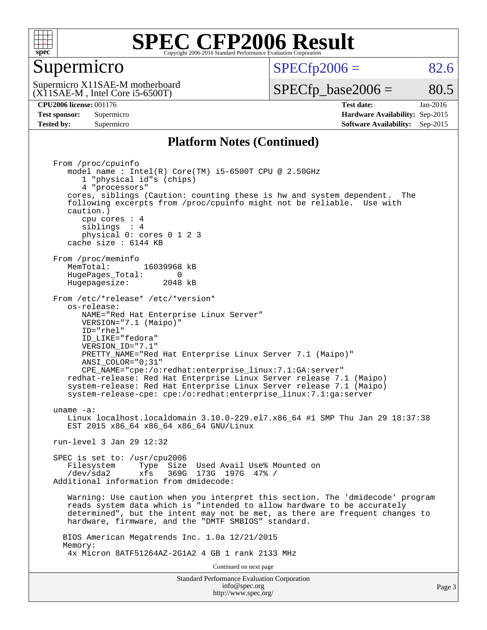

#### Supermicro

 $SPECTp2006 = 82.6$ 

(X11SAE-M , Intel Core i5-6500T) Supermicro X11SAE-M motherboard

 $SPECTp\_base2006 = 80.5$ 

**[CPU2006 license:](http://www.spec.org/auto/cpu2006/Docs/result-fields.html#CPU2006license)** 001176 **[Test date:](http://www.spec.org/auto/cpu2006/Docs/result-fields.html#Testdate)** Jan-2016 **[Test sponsor:](http://www.spec.org/auto/cpu2006/Docs/result-fields.html#Testsponsor)** Supermicro **[Hardware Availability:](http://www.spec.org/auto/cpu2006/Docs/result-fields.html#HardwareAvailability)** Sep-2015 **[Tested by:](http://www.spec.org/auto/cpu2006/Docs/result-fields.html#Testedby)** Supermicro **Supermicro [Software Availability:](http://www.spec.org/auto/cpu2006/Docs/result-fields.html#SoftwareAvailability)** Sep-2015

#### **[Platform Notes \(Continued\)](http://www.spec.org/auto/cpu2006/Docs/result-fields.html#PlatformNotes)**

Standard Performance Evaluation Corporation [info@spec.org](mailto:info@spec.org) From /proc/cpuinfo model name : Intel(R) Core(TM) i5-6500T CPU @ 2.50GHz 1 "physical id"s (chips) 4 "processors" cores, siblings (Caution: counting these is hw and system dependent. The following excerpts from /proc/cpuinfo might not be reliable. Use with caution.) cpu cores : 4 siblings : 4 physical 0: cores 0 1 2 3 cache size : 6144 KB From /proc/meminfo MemTotal: 16039968 kB HugePages\_Total: 0<br>Hugepagesize: 2048 kB Hugepagesize: From /etc/\*release\* /etc/\*version\* os-release: NAME="Red Hat Enterprise Linux Server" VERSION="7.1 (Maipo)" ID="rhel" ID\_LIKE="fedora" VERSION\_ID="7.1" PRETTY\_NAME="Red Hat Enterprise Linux Server 7.1 (Maipo)" ANSI\_COLOR="0;31" CPE\_NAME="cpe:/o:redhat:enterprise\_linux:7.1:GA:server" redhat-release: Red Hat Enterprise Linux Server release 7.1 (Maipo) system-release: Red Hat Enterprise Linux Server release 7.1 (Maipo) system-release-cpe: cpe:/o:redhat:enterprise\_linux:7.1:ga:server uname -a: Linux localhost.localdomain 3.10.0-229.el7.x86\_64 #1 SMP Thu Jan 29 18:37:38 EST 2015 x86 64 x86 64 x86 64 GNU/Linux run-level 3 Jan 29 12:32 SPEC is set to: /usr/cpu2006 Filesystem Type Size Used Avail Use% Mounted on /dev/sda2 xfs 369G 173G 197G 47% / Additional information from dmidecode: Warning: Use caution when you interpret this section. The 'dmidecode' program reads system data which is "intended to allow hardware to be accurately determined", but the intent may not be met, as there are frequent changes to hardware, firmware, and the "DMTF SMBIOS" standard. BIOS American Megatrends Inc. 1.0a 12/21/2015 Memory: 4x Micron 8ATF51264AZ-2G1A2 4 GB 1 rank 2133 MHz Continued on next page

<http://www.spec.org/>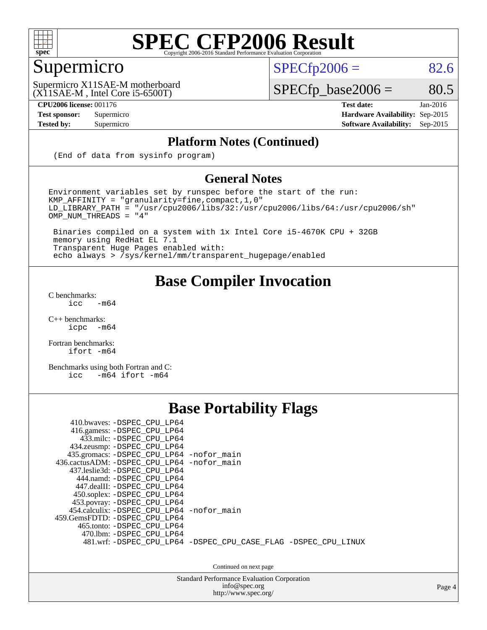

#### Supermicro

 $SPECTp2006 = 82.6$ 

(X11SAE-M , Intel Core i5-6500T) Supermicro X11SAE-M motherboard

**[CPU2006 license:](http://www.spec.org/auto/cpu2006/Docs/result-fields.html#CPU2006license)** 001176 **[Test date:](http://www.spec.org/auto/cpu2006/Docs/result-fields.html#Testdate)** Jan-2016

 $SPECfp\_base2006 = 80.5$ 

**[Test sponsor:](http://www.spec.org/auto/cpu2006/Docs/result-fields.html#Testsponsor)** Supermicro **[Hardware Availability:](http://www.spec.org/auto/cpu2006/Docs/result-fields.html#HardwareAvailability)** Sep-2015 **[Tested by:](http://www.spec.org/auto/cpu2006/Docs/result-fields.html#Testedby)** Supermicro **Supermicro [Software Availability:](http://www.spec.org/auto/cpu2006/Docs/result-fields.html#SoftwareAvailability)** Sep-2015

#### **[Platform Notes \(Continued\)](http://www.spec.org/auto/cpu2006/Docs/result-fields.html#PlatformNotes)**

(End of data from sysinfo program)

#### **[General Notes](http://www.spec.org/auto/cpu2006/Docs/result-fields.html#GeneralNotes)**

Environment variables set by runspec before the start of the run: KMP\_AFFINITY = "granularity=fine,compact,1,0"  $LD$ \_LIBRARY\_PATH = "/usr/cpu2006/libs/32:/usr/cpu2006/libs/64:/usr/cpu2006/sh"  $OMP_NUM_THREADS = "4"$ 

 Binaries compiled on a system with 1x Intel Core i5-4670K CPU + 32GB memory using RedHat EL 7.1 Transparent Huge Pages enabled with: echo always > /sys/kernel/mm/transparent\_hugepage/enabled

#### **[Base Compiler Invocation](http://www.spec.org/auto/cpu2006/Docs/result-fields.html#BaseCompilerInvocation)**

[C benchmarks](http://www.spec.org/auto/cpu2006/Docs/result-fields.html#Cbenchmarks):  $\text{icc}$  -m64

 $C++$  benchmarks:<br>icpc  $-m$ -m64

[Fortran benchmarks](http://www.spec.org/auto/cpu2006/Docs/result-fields.html#Fortranbenchmarks): [ifort -m64](http://www.spec.org/cpu2006/results/res2016q1/cpu2006-20160206-38966.flags.html#user_FCbase_intel_ifort_64bit_ee9d0fb25645d0210d97eb0527dcc06e)

[Benchmarks using both Fortran and C](http://www.spec.org/auto/cpu2006/Docs/result-fields.html#BenchmarksusingbothFortranandC): [icc -m64](http://www.spec.org/cpu2006/results/res2016q1/cpu2006-20160206-38966.flags.html#user_CC_FCbase_intel_icc_64bit_0b7121f5ab7cfabee23d88897260401c) [ifort -m64](http://www.spec.org/cpu2006/results/res2016q1/cpu2006-20160206-38966.flags.html#user_CC_FCbase_intel_ifort_64bit_ee9d0fb25645d0210d97eb0527dcc06e)

#### **[Base Portability Flags](http://www.spec.org/auto/cpu2006/Docs/result-fields.html#BasePortabilityFlags)**

| 410.bwaves: -DSPEC CPU LP64<br>416.gamess: -DSPEC_CPU_LP64<br>433.milc: -DSPEC CPU LP64<br>434.zeusmp: -DSPEC_CPU_LP64<br>435.gromacs: -DSPEC_CPU_LP64 -nofor_main<br>436.cactusADM: -DSPEC CPU LP64 -nofor main<br>437.leslie3d: -DSPEC CPU LP64<br>444.namd: -DSPEC CPU LP64<br>447.dealII: -DSPEC CPU LP64 |                                                                |
|---------------------------------------------------------------------------------------------------------------------------------------------------------------------------------------------------------------------------------------------------------------------------------------------------------------|----------------------------------------------------------------|
| 450.soplex: -DSPEC_CPU_LP64<br>453.povray: -DSPEC_CPU_LP64<br>454.calculix: -DSPEC CPU LP64 -nofor main<br>459.GemsFDTD: -DSPEC CPU LP64<br>465.tonto: - DSPEC CPU LP64<br>470.1bm: - DSPEC CPU LP64                                                                                                          | 481.wrf: -DSPEC CPU_LP64 -DSPEC_CPU_CASE_FLAG -DSPEC_CPU_LINUX |

Continued on next page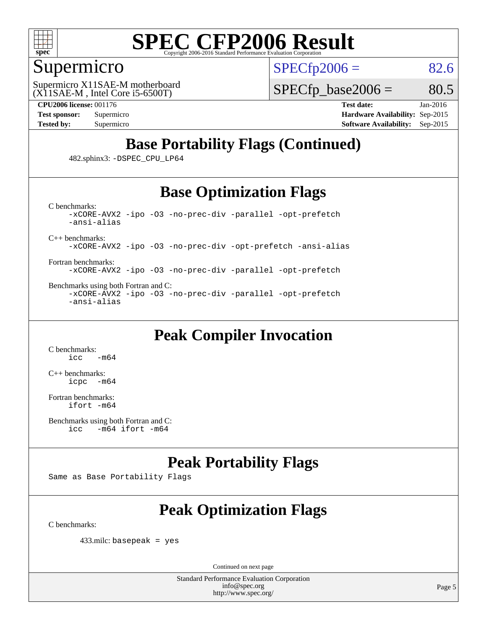

#### Supermicro

 $SPECTp2006 = 82.6$ 

(X11SAE-M , Intel Core i5-6500T) Supermicro X11SAE-M motherboard  $SPECTp\_base2006 = 80.5$ 

**[CPU2006 license:](http://www.spec.org/auto/cpu2006/Docs/result-fields.html#CPU2006license)** 001176 **[Test date:](http://www.spec.org/auto/cpu2006/Docs/result-fields.html#Testdate)** Jan-2016 **[Test sponsor:](http://www.spec.org/auto/cpu2006/Docs/result-fields.html#Testsponsor)** Supermicro **[Hardware Availability:](http://www.spec.org/auto/cpu2006/Docs/result-fields.html#HardwareAvailability)** Sep-2015 **[Tested by:](http://www.spec.org/auto/cpu2006/Docs/result-fields.html#Testedby)** Supermicro **Supermicro [Software Availability:](http://www.spec.org/auto/cpu2006/Docs/result-fields.html#SoftwareAvailability)** Sep-2015

### **[Base Portability Flags \(Continued\)](http://www.spec.org/auto/cpu2006/Docs/result-fields.html#BasePortabilityFlags)**

482.sphinx3: [-DSPEC\\_CPU\\_LP64](http://www.spec.org/cpu2006/results/res2016q1/cpu2006-20160206-38966.flags.html#suite_basePORTABILITY482_sphinx3_DSPEC_CPU_LP64)

#### **[Base Optimization Flags](http://www.spec.org/auto/cpu2006/Docs/result-fields.html#BaseOptimizationFlags)**

[C benchmarks](http://www.spec.org/auto/cpu2006/Docs/result-fields.html#Cbenchmarks): [-xCORE-AVX2](http://www.spec.org/cpu2006/results/res2016q1/cpu2006-20160206-38966.flags.html#user_CCbase_f-xAVX2_5f5fc0cbe2c9f62c816d3e45806c70d7) [-ipo](http://www.spec.org/cpu2006/results/res2016q1/cpu2006-20160206-38966.flags.html#user_CCbase_f-ipo) [-O3](http://www.spec.org/cpu2006/results/res2016q1/cpu2006-20160206-38966.flags.html#user_CCbase_f-O3) [-no-prec-div](http://www.spec.org/cpu2006/results/res2016q1/cpu2006-20160206-38966.flags.html#user_CCbase_f-no-prec-div) [-parallel](http://www.spec.org/cpu2006/results/res2016q1/cpu2006-20160206-38966.flags.html#user_CCbase_f-parallel) [-opt-prefetch](http://www.spec.org/cpu2006/results/res2016q1/cpu2006-20160206-38966.flags.html#user_CCbase_f-opt-prefetch) [-ansi-alias](http://www.spec.org/cpu2006/results/res2016q1/cpu2006-20160206-38966.flags.html#user_CCbase_f-ansi-alias)

[C++ benchmarks:](http://www.spec.org/auto/cpu2006/Docs/result-fields.html#CXXbenchmarks)

[-xCORE-AVX2](http://www.spec.org/cpu2006/results/res2016q1/cpu2006-20160206-38966.flags.html#user_CXXbase_f-xAVX2_5f5fc0cbe2c9f62c816d3e45806c70d7) [-ipo](http://www.spec.org/cpu2006/results/res2016q1/cpu2006-20160206-38966.flags.html#user_CXXbase_f-ipo) [-O3](http://www.spec.org/cpu2006/results/res2016q1/cpu2006-20160206-38966.flags.html#user_CXXbase_f-O3) [-no-prec-div](http://www.spec.org/cpu2006/results/res2016q1/cpu2006-20160206-38966.flags.html#user_CXXbase_f-no-prec-div) [-opt-prefetch](http://www.spec.org/cpu2006/results/res2016q1/cpu2006-20160206-38966.flags.html#user_CXXbase_f-opt-prefetch) [-ansi-alias](http://www.spec.org/cpu2006/results/res2016q1/cpu2006-20160206-38966.flags.html#user_CXXbase_f-ansi-alias)

[Fortran benchmarks](http://www.spec.org/auto/cpu2006/Docs/result-fields.html#Fortranbenchmarks): [-xCORE-AVX2](http://www.spec.org/cpu2006/results/res2016q1/cpu2006-20160206-38966.flags.html#user_FCbase_f-xAVX2_5f5fc0cbe2c9f62c816d3e45806c70d7) [-ipo](http://www.spec.org/cpu2006/results/res2016q1/cpu2006-20160206-38966.flags.html#user_FCbase_f-ipo) [-O3](http://www.spec.org/cpu2006/results/res2016q1/cpu2006-20160206-38966.flags.html#user_FCbase_f-O3) [-no-prec-div](http://www.spec.org/cpu2006/results/res2016q1/cpu2006-20160206-38966.flags.html#user_FCbase_f-no-prec-div) [-parallel](http://www.spec.org/cpu2006/results/res2016q1/cpu2006-20160206-38966.flags.html#user_FCbase_f-parallel) [-opt-prefetch](http://www.spec.org/cpu2006/results/res2016q1/cpu2006-20160206-38966.flags.html#user_FCbase_f-opt-prefetch)

[Benchmarks using both Fortran and C](http://www.spec.org/auto/cpu2006/Docs/result-fields.html#BenchmarksusingbothFortranandC): [-xCORE-AVX2](http://www.spec.org/cpu2006/results/res2016q1/cpu2006-20160206-38966.flags.html#user_CC_FCbase_f-xAVX2_5f5fc0cbe2c9f62c816d3e45806c70d7) [-ipo](http://www.spec.org/cpu2006/results/res2016q1/cpu2006-20160206-38966.flags.html#user_CC_FCbase_f-ipo) [-O3](http://www.spec.org/cpu2006/results/res2016q1/cpu2006-20160206-38966.flags.html#user_CC_FCbase_f-O3) [-no-prec-div](http://www.spec.org/cpu2006/results/res2016q1/cpu2006-20160206-38966.flags.html#user_CC_FCbase_f-no-prec-div) [-parallel](http://www.spec.org/cpu2006/results/res2016q1/cpu2006-20160206-38966.flags.html#user_CC_FCbase_f-parallel) [-opt-prefetch](http://www.spec.org/cpu2006/results/res2016q1/cpu2006-20160206-38966.flags.html#user_CC_FCbase_f-opt-prefetch) [-ansi-alias](http://www.spec.org/cpu2006/results/res2016q1/cpu2006-20160206-38966.flags.html#user_CC_FCbase_f-ansi-alias)

#### **[Peak Compiler Invocation](http://www.spec.org/auto/cpu2006/Docs/result-fields.html#PeakCompilerInvocation)**

[C benchmarks](http://www.spec.org/auto/cpu2006/Docs/result-fields.html#Cbenchmarks):  $-m64$ 

[C++ benchmarks:](http://www.spec.org/auto/cpu2006/Docs/result-fields.html#CXXbenchmarks) [icpc -m64](http://www.spec.org/cpu2006/results/res2016q1/cpu2006-20160206-38966.flags.html#user_CXXpeak_intel_icpc_64bit_bedb90c1146cab66620883ef4f41a67e)

[Fortran benchmarks](http://www.spec.org/auto/cpu2006/Docs/result-fields.html#Fortranbenchmarks): [ifort -m64](http://www.spec.org/cpu2006/results/res2016q1/cpu2006-20160206-38966.flags.html#user_FCpeak_intel_ifort_64bit_ee9d0fb25645d0210d97eb0527dcc06e)

```
Benchmarks using both Fortran and C: 
icc -m64 ifort -m64
```
#### **[Peak Portability Flags](http://www.spec.org/auto/cpu2006/Docs/result-fields.html#PeakPortabilityFlags)**

Same as Base Portability Flags

### **[Peak Optimization Flags](http://www.spec.org/auto/cpu2006/Docs/result-fields.html#PeakOptimizationFlags)**

[C benchmarks](http://www.spec.org/auto/cpu2006/Docs/result-fields.html#Cbenchmarks):

433.milc: basepeak = yes

Continued on next page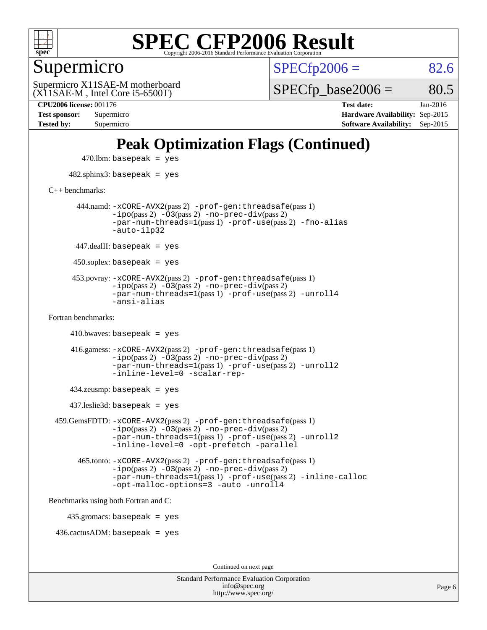

Supermicro

 $SPECTp2006 = 82.6$ 

(X11SAE-M , Intel Core i5-6500T) Supermicro X11SAE-M motherboard  $SPECTp\_base2006 = 80.5$ 

**[CPU2006 license:](http://www.spec.org/auto/cpu2006/Docs/result-fields.html#CPU2006license)** 001176 **[Test date:](http://www.spec.org/auto/cpu2006/Docs/result-fields.html#Testdate)** Jan-2016 **[Test sponsor:](http://www.spec.org/auto/cpu2006/Docs/result-fields.html#Testsponsor)** Supermicro **[Hardware Availability:](http://www.spec.org/auto/cpu2006/Docs/result-fields.html#HardwareAvailability)** Sep-2015 **[Tested by:](http://www.spec.org/auto/cpu2006/Docs/result-fields.html#Testedby)** Supermicro **[Software Availability:](http://www.spec.org/auto/cpu2006/Docs/result-fields.html#SoftwareAvailability)** Sep-2015

### **[Peak Optimization Flags \(Continued\)](http://www.spec.org/auto/cpu2006/Docs/result-fields.html#PeakOptimizationFlags)**

 $470$ .lbm: basepeak = yes 482.sphinx3: basepeak = yes [C++ benchmarks:](http://www.spec.org/auto/cpu2006/Docs/result-fields.html#CXXbenchmarks) 444.namd: [-xCORE-AVX2](http://www.spec.org/cpu2006/results/res2016q1/cpu2006-20160206-38966.flags.html#user_peakPASS2_CXXFLAGSPASS2_LDFLAGS444_namd_f-xAVX2_5f5fc0cbe2c9f62c816d3e45806c70d7)(pass 2) [-prof-gen:threadsafe](http://www.spec.org/cpu2006/results/res2016q1/cpu2006-20160206-38966.flags.html#user_peakPASS1_CXXFLAGSPASS1_LDFLAGS444_namd_prof_gen_21a26eb79f378b550acd7bec9fe4467a)(pass 1)  $-i\text{po}(pass 2) -\overline{0}3(pass 2) -no-prec-div(pass 2)$  $-i\text{po}(pass 2) -\overline{0}3(pass 2) -no-prec-div(pass 2)$  $-i\text{po}(pass 2) -\overline{0}3(pass 2) -no-prec-div(pass 2)$ [-par-num-threads=1](http://www.spec.org/cpu2006/results/res2016q1/cpu2006-20160206-38966.flags.html#user_peakPASS1_CXXFLAGSPASS1_LDFLAGS444_namd_par_num_threads_786a6ff141b4e9e90432e998842df6c2)(pass 1) [-prof-use](http://www.spec.org/cpu2006/results/res2016q1/cpu2006-20160206-38966.flags.html#user_peakPASS2_CXXFLAGSPASS2_LDFLAGS444_namd_prof_use_bccf7792157ff70d64e32fe3e1250b55)(pass 2) [-fno-alias](http://www.spec.org/cpu2006/results/res2016q1/cpu2006-20160206-38966.flags.html#user_peakCXXOPTIMIZEOPTIMIZE444_namd_f-no-alias_694e77f6c5a51e658e82ccff53a9e63a) [-auto-ilp32](http://www.spec.org/cpu2006/results/res2016q1/cpu2006-20160206-38966.flags.html#user_peakCXXOPTIMIZE444_namd_f-auto-ilp32)  $447$ .dealII: basepeak = yes 450.soplex: basepeak = yes 453.povray: [-xCORE-AVX2](http://www.spec.org/cpu2006/results/res2016q1/cpu2006-20160206-38966.flags.html#user_peakPASS2_CXXFLAGSPASS2_LDFLAGS453_povray_f-xAVX2_5f5fc0cbe2c9f62c816d3e45806c70d7)(pass 2) [-prof-gen:threadsafe](http://www.spec.org/cpu2006/results/res2016q1/cpu2006-20160206-38966.flags.html#user_peakPASS1_CXXFLAGSPASS1_LDFLAGS453_povray_prof_gen_21a26eb79f378b550acd7bec9fe4467a)(pass 1)  $-ipo(pass 2)$  $-ipo(pass 2)$   $-03(pass 2)$   $-no-prec-div(pass 2)$  $-no-prec-div(pass 2)$ [-par-num-threads=1](http://www.spec.org/cpu2006/results/res2016q1/cpu2006-20160206-38966.flags.html#user_peakPASS1_CXXFLAGSPASS1_LDFLAGS453_povray_par_num_threads_786a6ff141b4e9e90432e998842df6c2)(pass 1) [-prof-use](http://www.spec.org/cpu2006/results/res2016q1/cpu2006-20160206-38966.flags.html#user_peakPASS2_CXXFLAGSPASS2_LDFLAGS453_povray_prof_use_bccf7792157ff70d64e32fe3e1250b55)(pass 2) [-unroll4](http://www.spec.org/cpu2006/results/res2016q1/cpu2006-20160206-38966.flags.html#user_peakCXXOPTIMIZE453_povray_f-unroll_4e5e4ed65b7fd20bdcd365bec371b81f) [-ansi-alias](http://www.spec.org/cpu2006/results/res2016q1/cpu2006-20160206-38966.flags.html#user_peakCXXOPTIMIZE453_povray_f-ansi-alias) [Fortran benchmarks](http://www.spec.org/auto/cpu2006/Docs/result-fields.html#Fortranbenchmarks):  $410.bwaves: basepeak = yes$  416.gamess: [-xCORE-AVX2](http://www.spec.org/cpu2006/results/res2016q1/cpu2006-20160206-38966.flags.html#user_peakPASS2_FFLAGSPASS2_LDFLAGS416_gamess_f-xAVX2_5f5fc0cbe2c9f62c816d3e45806c70d7)(pass 2) [-prof-gen:threadsafe](http://www.spec.org/cpu2006/results/res2016q1/cpu2006-20160206-38966.flags.html#user_peakPASS1_FFLAGSPASS1_LDFLAGS416_gamess_prof_gen_21a26eb79f378b550acd7bec9fe4467a)(pass 1)  $-i\text{po}(pass 2)$   $-\tilde{O}3(pass 2)$   $-no-prec-div(pass 2)$  $-no-prec-div(pass 2)$ [-par-num-threads=1](http://www.spec.org/cpu2006/results/res2016q1/cpu2006-20160206-38966.flags.html#user_peakPASS1_FFLAGSPASS1_LDFLAGS416_gamess_par_num_threads_786a6ff141b4e9e90432e998842df6c2)(pass 1) [-prof-use](http://www.spec.org/cpu2006/results/res2016q1/cpu2006-20160206-38966.flags.html#user_peakPASS2_FFLAGSPASS2_LDFLAGS416_gamess_prof_use_bccf7792157ff70d64e32fe3e1250b55)(pass 2) [-unroll2](http://www.spec.org/cpu2006/results/res2016q1/cpu2006-20160206-38966.flags.html#user_peakOPTIMIZE416_gamess_f-unroll_784dae83bebfb236979b41d2422d7ec2) [-inline-level=0](http://www.spec.org/cpu2006/results/res2016q1/cpu2006-20160206-38966.flags.html#user_peakOPTIMIZE416_gamess_f-inline-level_318d07a09274ad25e8d15dbfaa68ba50) [-scalar-rep-](http://www.spec.org/cpu2006/results/res2016q1/cpu2006-20160206-38966.flags.html#user_peakOPTIMIZE416_gamess_f-disablescalarrep_abbcad04450fb118e4809c81d83c8a1d) 434.zeusmp: basepeak = yes 437.leslie3d: basepeak = yes 459.GemsFDTD: [-xCORE-AVX2](http://www.spec.org/cpu2006/results/res2016q1/cpu2006-20160206-38966.flags.html#user_peakPASS2_FFLAGSPASS2_LDFLAGS459_GemsFDTD_f-xAVX2_5f5fc0cbe2c9f62c816d3e45806c70d7)(pass 2) [-prof-gen:threadsafe](http://www.spec.org/cpu2006/results/res2016q1/cpu2006-20160206-38966.flags.html#user_peakPASS1_FFLAGSPASS1_LDFLAGS459_GemsFDTD_prof_gen_21a26eb79f378b550acd7bec9fe4467a)(pass 1)  $-i\text{po}(pass 2) -\overline{0}3(pass 2) -no-prec-div(pass 2)$  $-i\text{po}(pass 2) -\overline{0}3(pass 2) -no-prec-div(pass 2)$  $-i\text{po}(pass 2) -\overline{0}3(pass 2) -no-prec-div(pass 2)$ [-par-num-threads=1](http://www.spec.org/cpu2006/results/res2016q1/cpu2006-20160206-38966.flags.html#user_peakPASS1_FFLAGSPASS1_LDFLAGS459_GemsFDTD_par_num_threads_786a6ff141b4e9e90432e998842df6c2)(pass 1) [-prof-use](http://www.spec.org/cpu2006/results/res2016q1/cpu2006-20160206-38966.flags.html#user_peakPASS2_FFLAGSPASS2_LDFLAGS459_GemsFDTD_prof_use_bccf7792157ff70d64e32fe3e1250b55)(pass 2) [-unroll2](http://www.spec.org/cpu2006/results/res2016q1/cpu2006-20160206-38966.flags.html#user_peakOPTIMIZE459_GemsFDTD_f-unroll_784dae83bebfb236979b41d2422d7ec2) [-inline-level=0](http://www.spec.org/cpu2006/results/res2016q1/cpu2006-20160206-38966.flags.html#user_peakOPTIMIZE459_GemsFDTD_f-inline-level_318d07a09274ad25e8d15dbfaa68ba50) [-opt-prefetch](http://www.spec.org/cpu2006/results/res2016q1/cpu2006-20160206-38966.flags.html#user_peakOPTIMIZE459_GemsFDTD_f-opt-prefetch) [-parallel](http://www.spec.org/cpu2006/results/res2016q1/cpu2006-20160206-38966.flags.html#user_peakOPTIMIZE459_GemsFDTD_f-parallel) 465.tonto: [-xCORE-AVX2](http://www.spec.org/cpu2006/results/res2016q1/cpu2006-20160206-38966.flags.html#user_peakPASS2_FFLAGSPASS2_LDFLAGS465_tonto_f-xAVX2_5f5fc0cbe2c9f62c816d3e45806c70d7)(pass 2) [-prof-gen:threadsafe](http://www.spec.org/cpu2006/results/res2016q1/cpu2006-20160206-38966.flags.html#user_peakPASS1_FFLAGSPASS1_LDFLAGS465_tonto_prof_gen_21a26eb79f378b550acd7bec9fe4467a)(pass 1)  $-i\text{po}(pass 2) -\overline{O}3(pass 2)$  [-no-prec-div](http://www.spec.org/cpu2006/results/res2016q1/cpu2006-20160206-38966.flags.html#user_peakPASS2_FFLAGSPASS2_LDFLAGS465_tonto_f-no-prec-div)(pass 2) [-par-num-threads=1](http://www.spec.org/cpu2006/results/res2016q1/cpu2006-20160206-38966.flags.html#user_peakPASS1_FFLAGSPASS1_LDFLAGS465_tonto_par_num_threads_786a6ff141b4e9e90432e998842df6c2)(pass 1) [-prof-use](http://www.spec.org/cpu2006/results/res2016q1/cpu2006-20160206-38966.flags.html#user_peakPASS2_FFLAGSPASS2_LDFLAGS465_tonto_prof_use_bccf7792157ff70d64e32fe3e1250b55)(pass 2) [-inline-calloc](http://www.spec.org/cpu2006/results/res2016q1/cpu2006-20160206-38966.flags.html#user_peakOPTIMIZE465_tonto_f-inline-calloc) [-opt-malloc-options=3](http://www.spec.org/cpu2006/results/res2016q1/cpu2006-20160206-38966.flags.html#user_peakOPTIMIZE465_tonto_f-opt-malloc-options_13ab9b803cf986b4ee62f0a5998c2238) [-auto](http://www.spec.org/cpu2006/results/res2016q1/cpu2006-20160206-38966.flags.html#user_peakOPTIMIZE465_tonto_f-auto) [-unroll4](http://www.spec.org/cpu2006/results/res2016q1/cpu2006-20160206-38966.flags.html#user_peakOPTIMIZE465_tonto_f-unroll_4e5e4ed65b7fd20bdcd365bec371b81f) [Benchmarks using both Fortran and C](http://www.spec.org/auto/cpu2006/Docs/result-fields.html#BenchmarksusingbothFortranandC): 435.gromacs: basepeak = yes 436.cactusADM: basepeak = yes Continued on next page